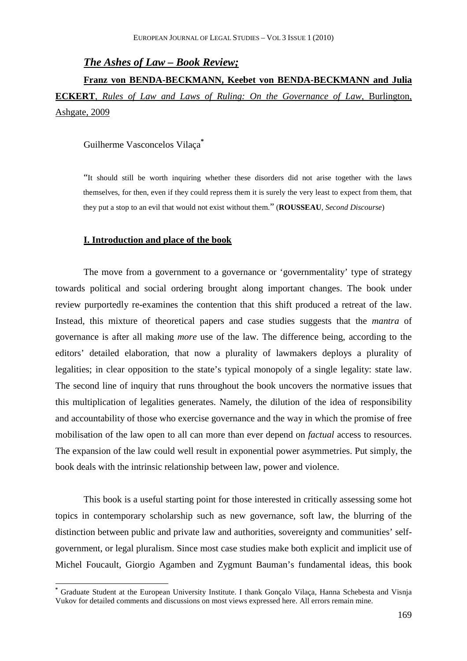## *The Ashes of Law – Book Review;*

**Franz von BENDA-BECKMANN, Keebet von BENDA-BECKMANN and Julia ECKERT**, *Rules of Law and Laws of Ruling: On the Governance of Law*, Burlington, Ashgate, 2009

Guilherme Vasconcelos Vilaça**\***

"It should still be worth inquiring whether these disorders did not arise together with the laws themselves, for then, even if they could repress them it is surely the very least to expect from them, that they put a stop to an evil that would not exist without them." (**ROUSSEAU**, *Second Discourse*)

#### **I. Introduction and place of the book**

 $\overline{a}$ 

The move from a government to a governance or 'governmentality' type of strategy towards political and social ordering brought along important changes. The book under review purportedly re-examines the contention that this shift produced a retreat of the law. Instead, this mixture of theoretical papers and case studies suggests that the *mantra* of governance is after all making *more* use of the law. The difference being, according to the editors' detailed elaboration, that now a plurality of lawmakers deploys a plurality of legalities; in clear opposition to the state's typical monopoly of a single legality: state law. The second line of inquiry that runs throughout the book uncovers the normative issues that this multiplication of legalities generates. Namely, the dilution of the idea of responsibility and accountability of those who exercise governance and the way in which the promise of free mobilisation of the law open to all can more than ever depend on *factual* access to resources. The expansion of the law could well result in exponential power asymmetries. Put simply, the book deals with the intrinsic relationship between law, power and violence.

This book is a useful starting point for those interested in critically assessing some hot topics in contemporary scholarship such as new governance, soft law, the blurring of the distinction between public and private law and authorities, sovereignty and communities' selfgovernment, or legal pluralism. Since most case studies make both explicit and implicit use of Michel Foucault, Giorgio Agamben and Zygmunt Bauman's fundamental ideas, this book

**<sup>\*</sup>** Graduate Student at the European University Institute. I thank Gonçalo Vilaça, Hanna Schebesta and Visnja Vukov for detailed comments and discussions on most views expressed here. All errors remain mine.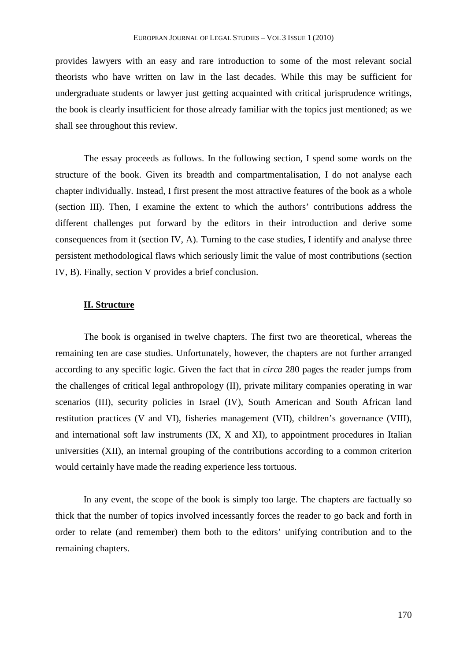provides lawyers with an easy and rare introduction to some of the most relevant social theorists who have written on law in the last decades. While this may be sufficient for undergraduate students or lawyer just getting acquainted with critical jurisprudence writings, the book is clearly insufficient for those already familiar with the topics just mentioned; as we shall see throughout this review.

The essay proceeds as follows. In the following section, I spend some words on the structure of the book. Given its breadth and compartmentalisation, I do not analyse each chapter individually. Instead, I first present the most attractive features of the book as a whole (section III). Then, I examine the extent to which the authors' contributions address the different challenges put forward by the editors in their introduction and derive some consequences from it (section IV, A). Turning to the case studies, I identify and analyse three persistent methodological flaws which seriously limit the value of most contributions (section IV, B). Finally, section V provides a brief conclusion.

## **II. Structure**

The book is organised in twelve chapters. The first two are theoretical, whereas the remaining ten are case studies. Unfortunately, however, the chapters are not further arranged according to any specific logic. Given the fact that in *circa* 280 pages the reader jumps from the challenges of critical legal anthropology (II), private military companies operating in war scenarios (III), security policies in Israel (IV), South American and South African land restitution practices (V and VI), fisheries management (VII), children's governance (VIII), and international soft law instruments (IX, X and XI), to appointment procedures in Italian universities (XII), an internal grouping of the contributions according to a common criterion would certainly have made the reading experience less tortuous.

In any event, the scope of the book is simply too large. The chapters are factually so thick that the number of topics involved incessantly forces the reader to go back and forth in order to relate (and remember) them both to the editors' unifying contribution and to the remaining chapters.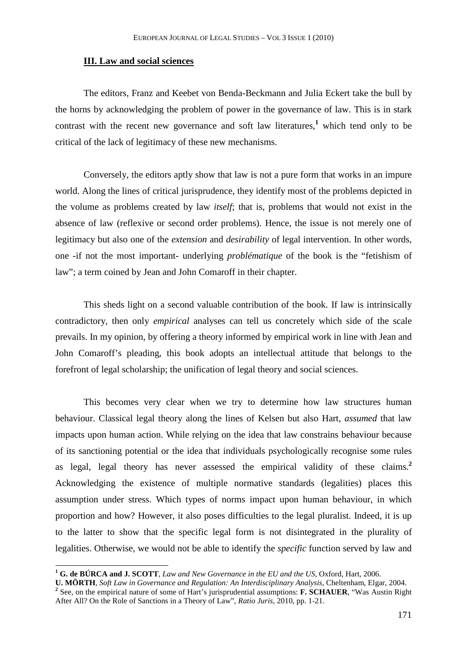### **III. Law and social sciences**

The editors, Franz and Keebet von Benda-Beckmann and Julia Eckert take the bull by the horns by acknowledging the problem of power in the governance of law. This is in stark contrast with the recent new governance and soft law literatures,<sup>1</sup> which tend only to be critical of the lack of legitimacy of these new mechanisms.

Conversely, the editors aptly show that law is not a pure form that works in an impure world. Along the lines of critical jurisprudence, they identify most of the problems depicted in the volume as problems created by law *itself*; that is, problems that would not exist in the absence of law (reflexive or second order problems). Hence, the issue is not merely one of legitimacy but also one of the *extension* and *desirability* of legal intervention. In other words, one -if not the most important- underlying *problématique* of the book is the "fetishism of law"; a term coined by Jean and John Comaroff in their chapter.

This sheds light on a second valuable contribution of the book. If law is intrinsically contradictory, then only *empirical* analyses can tell us concretely which side of the scale prevails. In my opinion, by offering a theory informed by empirical work in line with Jean and John Comaroff's pleading, this book adopts an intellectual attitude that belongs to the forefront of legal scholarship; the unification of legal theory and social sciences.

This becomes very clear when we try to determine how law structures human behaviour. Classical legal theory along the lines of Kelsen but also Hart, *assumed* that law impacts upon human action. While relying on the idea that law constrains behaviour because of its sanctioning potential or the idea that individuals psychologically recognise some rules as legal, legal theory has never assessed the empirical validity of these claims.**<sup>2</sup>** Acknowledging the existence of multiple normative standards (legalities) places this assumption under stress. Which types of norms impact upon human behaviour, in which proportion and how? However, it also poses difficulties to the legal pluralist. Indeed, it is up to the latter to show that the specific legal form is not disintegrated in the plurality of legalities. Otherwise, we would not be able to identify the *specific* function served by law and

**<sup>1</sup> G. de BÚRCA and J. SCOTT**, *Law and New Governance in the EU and the US*, Oxford, Hart, 2006.

**U. MÖRTH**, *Soft Law in Governance and Regulation: An Interdisciplinary Analysis*, Cheltenham, Elgar, 2004. **2** See, on the empirical nature of some of Hart's jurisprudential assumptions: **F. SCHAUER**, "Was Austin Right After All? On the Role of Sanctions in a Theory of Law", *Ratio Juris*, 2010, pp. 1-21.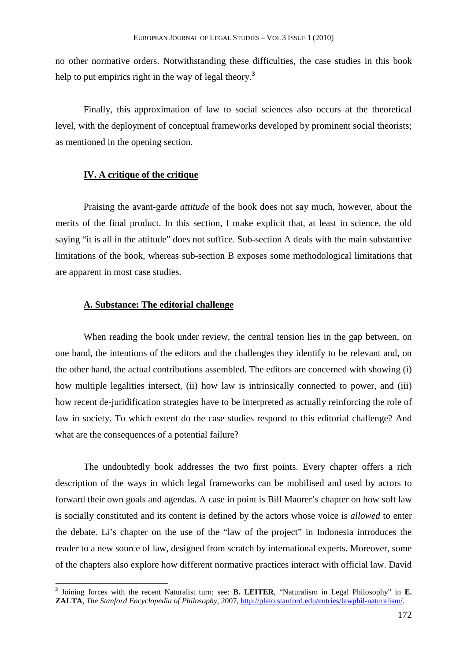no other normative orders. Notwithstanding these difficulties, the case studies in this book help to put empirics right in the way of legal theory.**<sup>3</sup>**

Finally, this approximation of law to social sciences also occurs at the theoretical level, with the deployment of conceptual frameworks developed by prominent social theorists; as mentioned in the opening section.

### **IV. A critique of the critique**

Praising the avant-garde *attitude* of the book does not say much, however, about the merits of the final product. In this section, I make explicit that, at least in science, the old saying "it is all in the attitude" does not suffice. Sub-section A deals with the main substantive limitations of the book, whereas sub-section B exposes some methodological limitations that are apparent in most case studies.

# **A. Substance: The editorial challenge**

 $\overline{a}$ 

When reading the book under review, the central tension lies in the gap between, on one hand, the intentions of the editors and the challenges they identify to be relevant and, on the other hand, the actual contributions assembled. The editors are concerned with showing (i) how multiple legalities intersect, (ii) how law is intrinsically connected to power, and (iii) how recent de-juridification strategies have to be interpreted as actually reinforcing the role of law in society. To which extent do the case studies respond to this editorial challenge? And what are the consequences of a potential failure?

The undoubtedly book addresses the two first points. Every chapter offers a rich description of the ways in which legal frameworks can be mobilised and used by actors to forward their own goals and agendas. A case in point is Bill Maurer's chapter on how soft law is socially constituted and its content is defined by the actors whose voice is *allowed* to enter the debate. Li's chapter on the use of the "law of the project" in Indonesia introduces the reader to a new source of law, designed from scratch by international experts. Moreover, some of the chapters also explore how different normative practices interact with official law. David

**<sup>3</sup>** Joining forces with the recent Naturalist turn; see: **B. LEITER**, "Naturalism in Legal Philosophy" in **E. ZALTA**, *The Stanford Encyclopedia of Philosophy*, 2007, http://plato.stanford.edu/entries/lawphil-naturalism/.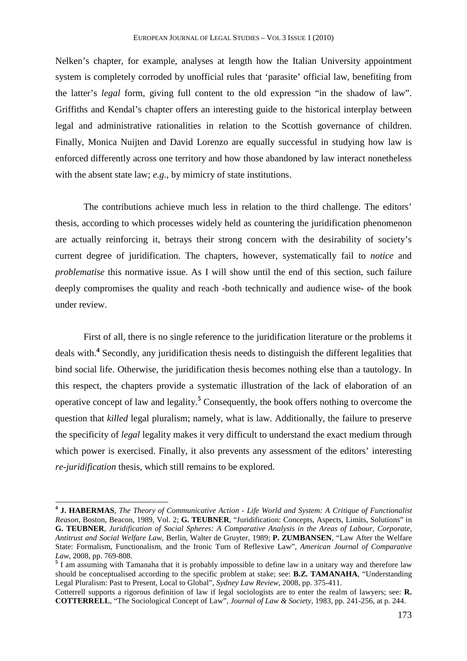Nelken's chapter, for example, analyses at length how the Italian University appointment system is completely corroded by unofficial rules that 'parasite' official law, benefiting from the latter's *legal* form, giving full content to the old expression "in the shadow of law". Griffiths and Kendal's chapter offers an interesting guide to the historical interplay between legal and administrative rationalities in relation to the Scottish governance of children. Finally, Monica Nuijten and David Lorenzo are equally successful in studying how law is enforced differently across one territory and how those abandoned by law interact nonetheless with the absent state law; *e.g.*, by mimicry of state institutions.

The contributions achieve much less in relation to the third challenge. The editors' thesis, according to which processes widely held as countering the juridification phenomenon are actually reinforcing it, betrays their strong concern with the desirability of society's current degree of juridification. The chapters, however, systematically fail to *notice* and *problematise* this normative issue. As I will show until the end of this section, such failure deeply compromises the quality and reach -both technically and audience wise- of the book under review.

First of all, there is no single reference to the juridification literature or the problems it deals with.**<sup>4</sup>** Secondly, any juridification thesis needs to distinguish the different legalities that bind social life. Otherwise, the juridification thesis becomes nothing else than a tautology. In this respect, the chapters provide a systematic illustration of the lack of elaboration of an operative concept of law and legality.**<sup>5</sup>** Consequently, the book offers nothing to overcome the question that *killed* legal pluralism; namely, what is law. Additionally, the failure to preserve the specificity of *legal* legality makes it very difficult to understand the exact medium through which power is exercised. Finally, it also prevents any assessment of the editors' interesting *re-juridification* thesis, which still remains to be explored.

**<sup>4</sup> J. HABERMAS**, *The Theory of Communicative Action - Life World and System: A Critique of Functionalist Reason*, Boston, Beacon, 1989, Vol. 2; **G. TEUBNER**, "Juridification: Concepts, Aspects, Limits, Solutions" in **G. TEUBNER**, *Juridification of Social Spheres: A Comparative Analysis in the Areas of Labour, Corporate, Antitrust and Social Welfare Law*, Berlin, Walter de Gruyter, 1989; **P. ZUMBANSEN**, "Law After the Welfare State: Formalism, Functionalism, and the Ironic Turn of Reflexive Law", *American Journal of Comparative Law*, 2008, pp. 769-808.

<sup>&</sup>lt;sup>5</sup> I am assuming with Tamanaha that it is probably impossible to define law in a unitary way and therefore law should be conceptualised according to the specific problem at stake; see: **B.Z. TAMANAHA**, "Understanding Legal Pluralism: Past to Present, Local to Global", *Sydney Law Review*, 2008, pp. 375-411.

Cotterrell supports a rigorous definition of law if legal sociologists are to enter the realm of lawyers; see: **R. COTTERRELL**, "The Sociological Concept of Law", *Journal of Law & Society*, 1983, pp. 241-256, at p. 244.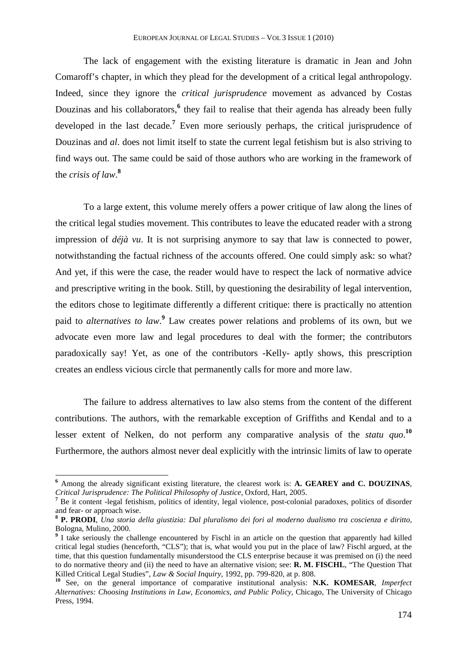The lack of engagement with the existing literature is dramatic in Jean and John Comaroff's chapter, in which they plead for the development of a critical legal anthropology. Indeed, since they ignore the *critical jurisprudence* movement as advanced by Costas Douzinas and his collaborators,<sup>6</sup> they fail to realise that their agenda has already been fully developed in the last decade.**<sup>7</sup>** Even more seriously perhaps, the critical jurisprudence of Douzinas and *al*. does not limit itself to state the current legal fetishism but is also striving to find ways out. The same could be said of those authors who are working in the framework of the *crisis of law*. **8**

To a large extent, this volume merely offers a power critique of law along the lines of the critical legal studies movement. This contributes to leave the educated reader with a strong impression of *déjà vu*. It is not surprising anymore to say that law is connected to power, notwithstanding the factual richness of the accounts offered. One could simply ask: so what? And yet, if this were the case, the reader would have to respect the lack of normative advice and prescriptive writing in the book. Still, by questioning the desirability of legal intervention, the editors chose to legitimate differently a different critique: there is practically no attention paid to *alternatives to law*.<sup>9</sup> Law creates power relations and problems of its own, but we advocate even more law and legal procedures to deal with the former; the contributors paradoxically say! Yet, as one of the contributors -Kelly- aptly shows, this prescription creates an endless vicious circle that permanently calls for more and more law.

The failure to address alternatives to law also stems from the content of the different contributions. The authors, with the remarkable exception of Griffiths and Kendal and to a lesser extent of Nelken, do not perform any comparative analysis of the *statu quo*.<sup>10</sup> Furthermore, the authors almost never deal explicitly with the intrinsic limits of law to operate

**<sup>6</sup>** Among the already significant existing literature, the clearest work is: **A. GEAREY and C. DOUZINAS**, *Critical Jurisprudence: The Political Philosophy of Justice*, Oxford, Hart, 2005.

<sup>&</sup>lt;sup>7</sup> Be it content -legal fetishism, politics of identity, legal violence, post-colonial paradoxes, politics of disorder and fear- or approach wise.

**<sup>8</sup> P. PRODI**, *Una storia della giustizia: Dal pluralismo dei fori al moderno dualismo tra coscienza e diritto*, Bologna, Mulino, 2000.

<sup>&</sup>lt;sup>9</sup> I take seriously the challenge encountered by Fischl in an article on the question that apparently had killed critical legal studies (henceforth, "CLS"); that is, what would you put in the place of law? Fischl argued, at the time, that this question fundamentally misunderstood the CLS enterprise because it was premised on (i) the need to do normative theory and (ii) the need to have an alternative vision; see: **R. M. FISCHL**, "The Question That Killed Critical Legal Studies", *Law & Social Inquiry*, 1992, pp. 799-820, at p. 808.

**<sup>10</sup>** See, on the general importance of comparative institutional analysis: **N.K. KOMESAR**, *Imperfect Alternatives: Choosing Institutions in Law, Economics, and Public Policy*, Chicago, The University of Chicago Press, 1994.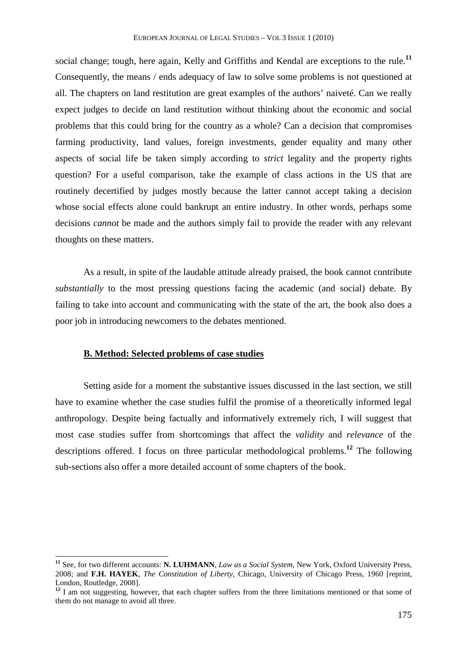social change; tough, here again, Kelly and Griffiths and Kendal are exceptions to the rule.**<sup>11</sup>** Consequently, the means / ends adequacy of law to solve some problems is not questioned at all. The chapters on land restitution are great examples of the authors' naiveté. Can we really expect judges to decide on land restitution without thinking about the economic and social problems that this could bring for the country as a whole? Can a decision that compromises farming productivity, land values, foreign investments, gender equality and many other aspects of social life be taken simply according to *strict* legality and the property rights question? For a useful comparison, take the example of class actions in the US that are routinely decertified by judges mostly because the latter cannot accept taking a decision whose social effects alone could bankrupt an entire industry. In other words, perhaps some decisions *cannot* be made and the authors simply fail to provide the reader with any relevant thoughts on these matters.

As a result, in spite of the laudable attitude already praised, the book cannot contribute *substantially* to the most pressing questions facing the academic (and social) debate. By failing to take into account and communicating with the state of the art, the book also does a poor job in introducing newcomers to the debates mentioned.

### **B. Method: Selected problems of case studies**

 $\overline{a}$ 

Setting aside for a moment the substantive issues discussed in the last section, we still have to examine whether the case studies fulfil the promise of a theoretically informed legal anthropology. Despite being factually and informatively extremely rich, I will suggest that most case studies suffer from shortcomings that affect the *validity* and *relevance* of the descriptions offered. I focus on three particular methodological problems.**<sup>12</sup>** The following sub-sections also offer a more detailed account of some chapters of the book.

**<sup>11</sup>** See, for two different accounts: **N. LUHMANN**, *Law as a Social System*, New York, Oxford University Press, 2008; and **F.H. HAYEK**, *The Constitution of Liberty*, Chicago, University of Chicago Press, 1960 [reprint, London, Routledge, 2008].

<sup>&</sup>lt;sup>12</sup> I am not suggesting, however, that each chapter suffers from the three limitations mentioned or that some of them do not manage to avoid all three.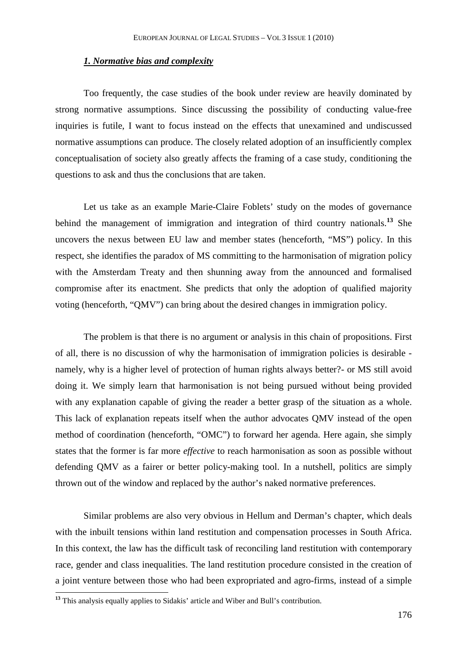### *1. Normative bias and complexity*

Too frequently, the case studies of the book under review are heavily dominated by strong normative assumptions. Since discussing the possibility of conducting value-free inquiries is futile, I want to focus instead on the effects that unexamined and undiscussed normative assumptions can produce. The closely related adoption of an insufficiently complex conceptualisation of society also greatly affects the framing of a case study, conditioning the questions to ask and thus the conclusions that are taken.

Let us take as an example Marie-Claire Foblets' study on the modes of governance behind the management of immigration and integration of third country nationals.**<sup>13</sup>** She uncovers the nexus between EU law and member states (henceforth, "MS") policy. In this respect, she identifies the paradox of MS committing to the harmonisation of migration policy with the Amsterdam Treaty and then shunning away from the announced and formalised compromise after its enactment. She predicts that only the adoption of qualified majority voting (henceforth, "QMV") can bring about the desired changes in immigration policy.

The problem is that there is no argument or analysis in this chain of propositions. First of all, there is no discussion of why the harmonisation of immigration policies is desirable namely, why is a higher level of protection of human rights always better?- or MS still avoid doing it. We simply learn that harmonisation is not being pursued without being provided with any explanation capable of giving the reader a better grasp of the situation as a whole. This lack of explanation repeats itself when the author advocates QMV instead of the open method of coordination (henceforth, "OMC") to forward her agenda. Here again, she simply states that the former is far more *effective* to reach harmonisation as soon as possible without defending QMV as a fairer or better policy-making tool. In a nutshell, politics are simply thrown out of the window and replaced by the author's naked normative preferences.

Similar problems are also very obvious in Hellum and Derman's chapter, which deals with the inbuilt tensions within land restitution and compensation processes in South Africa. In this context, the law has the difficult task of reconciling land restitution with contemporary race, gender and class inequalities. The land restitution procedure consisted in the creation of a joint venture between those who had been expropriated and agro-firms, instead of a simple

**<sup>13</sup>** This analysis equally applies to Sidakis' article and Wiber and Bull's contribution.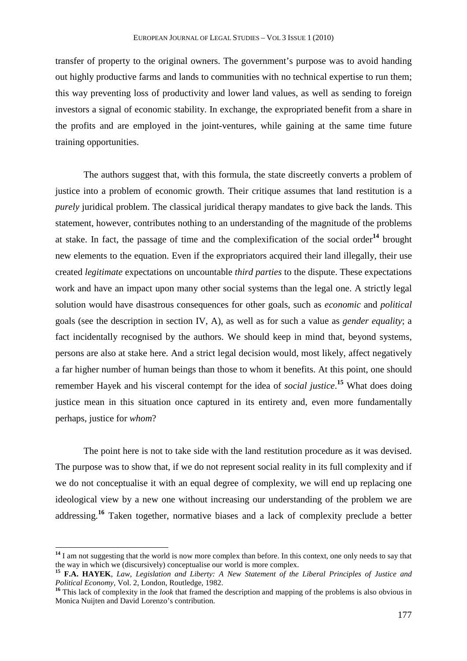transfer of property to the original owners. The government's purpose was to avoid handing out highly productive farms and lands to communities with no technical expertise to run them; this way preventing loss of productivity and lower land values, as well as sending to foreign investors a signal of economic stability. In exchange, the expropriated benefit from a share in the profits and are employed in the joint-ventures, while gaining at the same time future training opportunities.

The authors suggest that, with this formula, the state discreetly converts a problem of justice into a problem of economic growth. Their critique assumes that land restitution is a *purely* juridical problem. The classical juridical therapy mandates to give back the lands. This statement, however, contributes nothing to an understanding of the magnitude of the problems at stake. In fact, the passage of time and the complexification of the social order**<sup>14</sup>** brought new elements to the equation. Even if the expropriators acquired their land illegally, their use created *legitimate* expectations on uncountable *third parties* to the dispute. These expectations work and have an impact upon many other social systems than the legal one. A strictly legal solution would have disastrous consequences for other goals, such as *economic* and *political* goals (see the description in section IV, A), as well as for such a value as *gender equality*; a fact incidentally recognised by the authors. We should keep in mind that, beyond systems, persons are also at stake here. And a strict legal decision would, most likely, affect negatively a far higher number of human beings than those to whom it benefits. At this point, one should remember Hayek and his visceral contempt for the idea of *social justice*. **<sup>15</sup>** What does doing justice mean in this situation once captured in its entirety and, even more fundamentally perhaps, justice for *whom*?

The point here is not to take side with the land restitution procedure as it was devised. The purpose was to show that, if we do not represent social reality in its full complexity and if we do not conceptualise it with an equal degree of complexity, we will end up replacing one ideological view by a new one without increasing our understanding of the problem we are addressing.**<sup>16</sup>** Taken together, normative biases and a lack of complexity preclude a better

<sup>&</sup>lt;sup>14</sup> I am not suggesting that the world is now more complex than before. In this context, one only needs to say that the way in which we (discursively) conceptualise our world is more complex.

**<sup>15</sup> F.A. HAYEK**, *Law, Legislation and Liberty: A New Statement of the Liberal Principles of Justice and Political Economy*, Vol. 2, London, Routledge, 1982.

**<sup>16</sup>** This lack of complexity in the *look* that framed the description and mapping of the problems is also obvious in Monica Nuijten and David Lorenzo's contribution.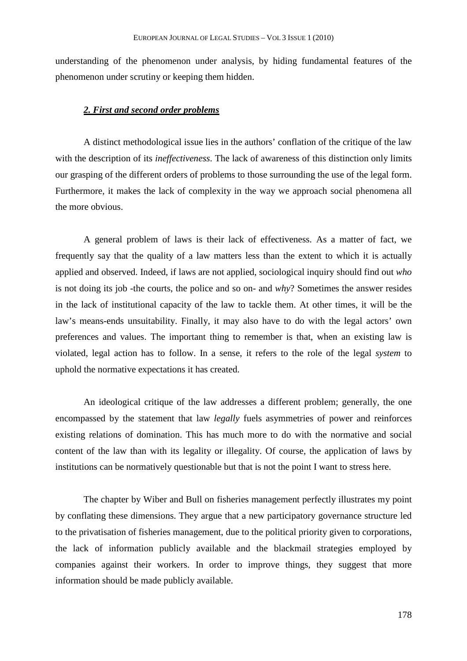understanding of the phenomenon under analysis, by hiding fundamental features of the phenomenon under scrutiny or keeping them hidden.

#### *2. First and second order problems*

A distinct methodological issue lies in the authors' conflation of the critique of the law with the description of its *ineffectiveness*. The lack of awareness of this distinction only limits our grasping of the different orders of problems to those surrounding the use of the legal form. Furthermore, it makes the lack of complexity in the way we approach social phenomena all the more obvious.

A general problem of laws is their lack of effectiveness. As a matter of fact, we frequently say that the quality of a law matters less than the extent to which it is actually applied and observed. Indeed, if laws are not applied, sociological inquiry should find out *who* is not doing its job -the courts, the police and so on- and *why*? Sometimes the answer resides in the lack of institutional capacity of the law to tackle them. At other times, it will be the law's means-ends unsuitability. Finally, it may also have to do with the legal actors' own preferences and values. The important thing to remember is that, when an existing law is violated, legal action has to follow. In a sense, it refers to the role of the legal *system* to uphold the normative expectations it has created.

An ideological critique of the law addresses a different problem; generally, the one encompassed by the statement that law *legally* fuels asymmetries of power and reinforces existing relations of domination. This has much more to do with the normative and social content of the law than with its legality or illegality. Of course, the application of laws by institutions can be normatively questionable but that is not the point I want to stress here.

The chapter by Wiber and Bull on fisheries management perfectly illustrates my point by conflating these dimensions. They argue that a new participatory governance structure led to the privatisation of fisheries management, due to the political priority given to corporations, the lack of information publicly available and the blackmail strategies employed by companies against their workers. In order to improve things, they suggest that more information should be made publicly available.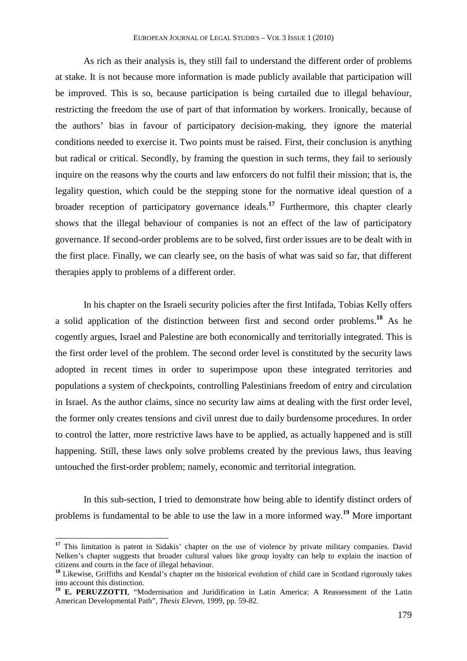As rich as their analysis is, they still fail to understand the different order of problems at stake. It is not because more information is made publicly available that participation will be improved. This is so, because participation is being curtailed due to illegal behaviour, restricting the freedom the use of part of that information by workers. Ironically, because of the authors' bias in favour of participatory decision-making, they ignore the material conditions needed to exercise it. Two points must be raised. First, their conclusion is anything but radical or critical. Secondly, by framing the question in such terms, they fail to seriously inquire on the reasons why the courts and law enforcers do not fulfil their mission; that is, the legality question, which could be the stepping stone for the normative ideal question of a broader reception of participatory governance ideals.**<sup>17</sup>** Furthermore, this chapter clearly shows that the illegal behaviour of companies is not an effect of the law of participatory governance. If second-order problems are to be solved, first order issues are to be dealt with in the first place. Finally, we can clearly see, on the basis of what was said so far, that different therapies apply to problems of a different order.

In his chapter on the Israeli security policies after the first Intifada, Tobias Kelly offers a solid application of the distinction between first and second order problems.**<sup>18</sup>** As he cogently argues, Israel and Palestine are both economically and territorially integrated. This is the first order level of the problem. The second order level is constituted by the security laws adopted in recent times in order to superimpose upon these integrated territories and populations a system of checkpoints, controlling Palestinians freedom of entry and circulation in Israel. As the author claims, since no security law aims at dealing with the first order level, the former only creates tensions and civil unrest due to daily burdensome procedures. In order to control the latter, more restrictive laws have to be applied, as actually happened and is still happening. Still, these laws only solve problems created by the previous laws, thus leaving untouched the first-order problem; namely, economic and territorial integration.

In this sub-section, I tried to demonstrate how being able to identify distinct orders of problems is fundamental to be able to use the law in a more informed way.**<sup>19</sup>** More important

<sup>&</sup>lt;sup>17</sup> This limitation is patent in Sidakis' chapter on the use of violence by private military companies. David Nelken's chapter suggests that broader cultural values like group loyalty can help to explain the inaction of citizens and courts in the face of illegal behaviour.

**<sup>18</sup>** Likewise, Griffiths and Kendal's chapter on the historical evolution of child care in Scotland rigorously takes into account this distinction.

**<sup>19</sup> E. PERUZZOTTI**, "Modernisation and Juridification in Latin America: A Reassessment of the Latin American Developmental Path", *Thesis Eleven*, 1999, pp. 59-82.